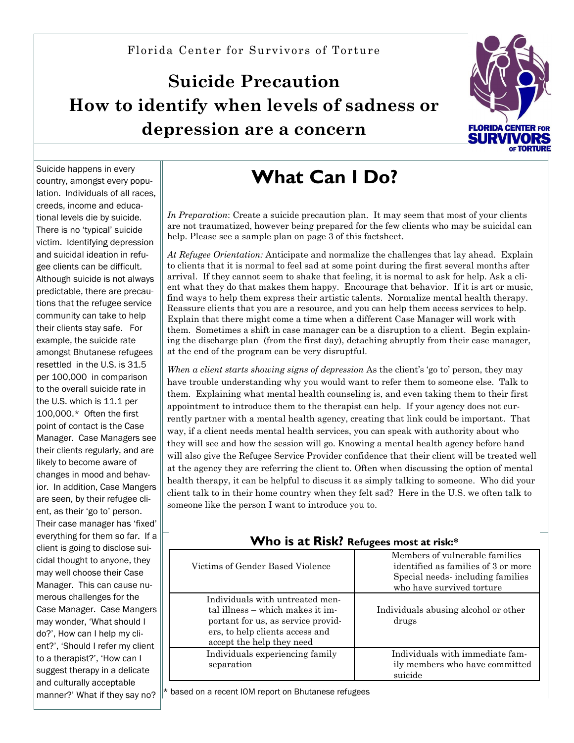## **Suicide Precaution How to identify when levels of sadness or depression are a concern**



Suicide happens in every country, amongst every population. Individuals of all races, creeds, income and educational levels die by suicide. There is no 'typical' suicide victim. Identifying depression and suicidal ideation in refugee clients can be difficult. Although suicide is not always predictable, there are precautions that the refugee service community can take to help their clients stay safe. For example, the suicide rate amongst Bhutanese refugees resettled in the U.S. is 31.5 per 100,000 in comparison to the overall suicide rate in the U.S. which is 11.1 per 100,000.\* Often the first point of contact is the Case Manager. Case Managers see their clients regularly, and are likely to become aware of changes in mood and behavior. In addition, Case Mangers are seen, by their refugee client, as their 'go to' person. Their case manager has 'fixed' everything for them so far. If a  $\parallel$ client is going to disclose suicidal thought to anyone, they may well choose their Case Manager. This can cause numerous challenges for the Case Manager. Case Mangers may wonder, 'What should I do?', How can I help my client?', 'Should I refer my client to a therapist?', 'How can I suggest therapy in a delicate and culturally acceptable manner?' What if they say no?

# **What Can I Do?**

*In Preparation*: Create a suicide precaution plan. It may seem that most of your clients are not traumatized, however being prepared for the few clients who may be suicidal can help. Please see a sample plan on page 3 of this factsheet.

*At Refugee Orientation:* Anticipate and normalize the challenges that lay ahead. Explain to clients that it is normal to feel sad at some point during the first several months after arrival. If they cannot seem to shake that feeling, it is normal to ask for help. Ask a client what they do that makes them happy. Encourage that behavior. If it is art or music, find ways to help them express their artistic talents. Normalize mental health therapy. Reassure clients that you are a resource, and you can help them access services to help. Explain that there might come a time when a different Case Manager will work with them. Sometimes a shift in case manager can be a disruption to a client. Begin explaining the discharge plan (from the first day), detaching abruptly from their case manager, at the end of the program can be very disruptful.

*When a client starts showing signs of depression* As the client's 'go to' person, they may have trouble understanding why you would want to refer them to someone else. Talk to them. Explaining what mental health counseling is, and even taking them to their first appointment to introduce them to the therapist can help. If your agency does not currently partner with a mental health agency, creating that link could be important. That way, if a client needs mental health services, you can speak with authority about who they will see and how the session will go. Knowing a mental health agency before hand will also give the Refugee Service Provider confidence that their client will be treated well at the agency they are referring the client to. Often when discussing the option of mental health therapy, it can be helpful to discuss it as simply talking to someone. Who did your client talk to in their home country when they felt sad? Here in the U.S. we often talk to someone like the person I want to introduce you to.

| Victims of Gender Based Violence                                                                                                                                          | Members of vulnerable families<br>identified as families of 3 or more<br>Special needs-including families<br>who have survived torture |  |
|---------------------------------------------------------------------------------------------------------------------------------------------------------------------------|----------------------------------------------------------------------------------------------------------------------------------------|--|
| Individuals with untreated men-<br>tal illness – which makes it im-<br>portant for us, as service provid-<br>ers, to help clients access and<br>accept the help they need | Individuals abusing alcohol or other<br>drugs                                                                                          |  |
| Individuals experiencing family<br>separation                                                                                                                             | Individuals with immediate fam-<br>ily members who have committed<br>suicide                                                           |  |

 $\mathbb{I}^*$  based on a recent IOM report on Bhutanese refugees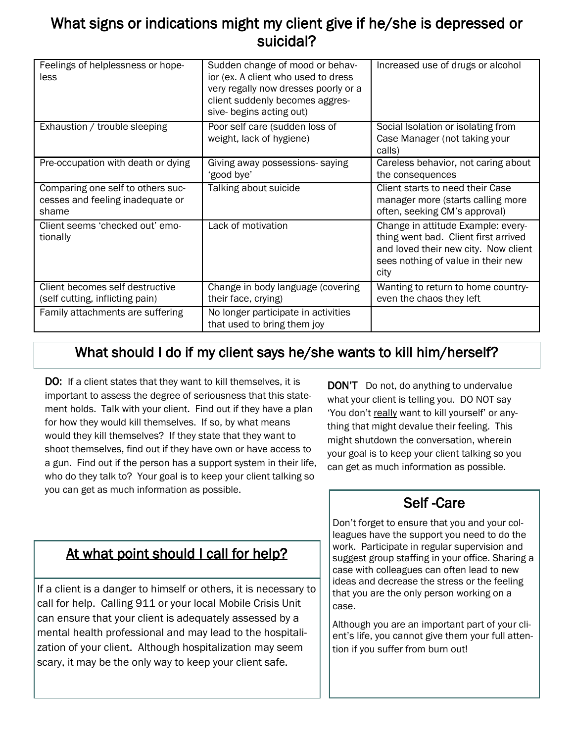## What signs or indications might my client give if he/she is depressed or suicidal?

| Feelings of helplessness or hope-<br>less                                      | Sudden change of mood or behav-<br>ior (ex. A client who used to dress<br>very regally now dresses poorly or a<br>client suddenly becomes aggres-<br>sive- begins acting out) | Increased use of drugs or alcohol                                                                                                                                |
|--------------------------------------------------------------------------------|-------------------------------------------------------------------------------------------------------------------------------------------------------------------------------|------------------------------------------------------------------------------------------------------------------------------------------------------------------|
| Exhaustion / trouble sleeping                                                  | Poor self care (sudden loss of<br>weight, lack of hygiene)                                                                                                                    | Social Isolation or isolating from<br>Case Manager (not taking your<br>calls)                                                                                    |
| Pre-occupation with death or dying                                             | Giving away possessions-saying<br>'good bye'                                                                                                                                  | Careless behavior, not caring about<br>the consequences                                                                                                          |
| Comparing one self to others suc-<br>cesses and feeling inadequate or<br>shame | Talking about suicide                                                                                                                                                         | Client starts to need their Case<br>manager more (starts calling more<br>often, seeking CM's approval)                                                           |
| Client seems 'checked out' emo-<br>tionally                                    | Lack of motivation                                                                                                                                                            | Change in attitude Example: every-<br>thing went bad. Client first arrived<br>and loved their new city. Now client<br>sees nothing of value in their new<br>city |
| Client becomes self destructive<br>(self cutting, inflicting pain)             | Change in body language (covering<br>their face, crying)                                                                                                                      | Wanting to return to home country-<br>even the chaos they left                                                                                                   |
| Family attachments are suffering                                               | No longer participate in activities<br>that used to bring them joy                                                                                                            |                                                                                                                                                                  |

## What should I do if my client says he/she wants to kill him/herself?

DO: If a client states that they want to kill themselves, it is important to assess the degree of seriousness that this statement holds. Talk with your client. Find out if they have a plan for how they would kill themselves. If so, by what means would they kill themselves? If they state that they want to shoot themselves, find out if they have own or have access to a gun. Find out if the person has a support system in their life, who do they talk to? Your goal is to keep your client talking so you can get as much information as possible.

DON'T Do not, do anything to undervalue what your client is telling you. DO NOT say 'You don't really want to kill yourself' or anything that might devalue their feeling. This might shutdown the conversation, wherein your goal is to keep your client talking so you can get as much information as possible.

### At what point should I call for help?

If a client is a danger to himself or others, it is necessary to call for help. Calling 911 or your local Mobile Crisis Unit can ensure that your client is adequately assessed by a mental health professional and may lead to the hospitalization of your client. Although hospitalization may seem scary, it may be the only way to keep your client safe.

## Self -Care

Don't forget to ensure that you and your colleagues have the support you need to do the work. Participate in regular supervision and suggest group staffing in your office. Sharing a case with colleagues can often lead to new ideas and decrease the stress or the feeling that you are the only person working on a case.

Although you are an important part of your client's life, you cannot give them your full attention if you suffer from burn out!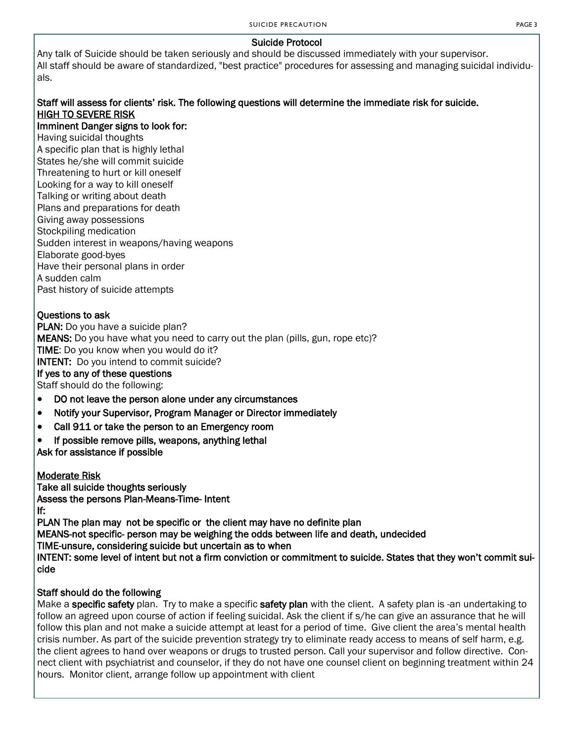#### Suicide Protocol

Any talk of Suicide should be taken seriously and should be discussed immediately with your supervisor. All staff should be aware of standardized, "best practice" procedures for assessing and managing suicidal individuals.

#### Staff will assess for clients' risk. The following questions will determine the immediate risk for suicide. HIGH TO SEVERE RISK

#### Imminent Danger signs to look for:

Having suicidal thoughts A specific plan that is highly lethal States he/she will commit suicide Threatening to hurt or kill oneself Looking for a way to kill oneself Talking or writing about death Plans and preparations for death Giving away possessions Stockpiling medication Sudden interest in weapons/having weapons Elaborate good-byes Have their personal plans in order A sudden calm Past history of suicide attempts

#### Questions to ask

PLAN: Do you have a suicide plan? MEANS: Do you have what you need to carry out the plan (pills, gun, rope etc)? TIME: Do you know when you would do it? INTENT: Do you intend to commit suicide? If yes to any of these questions Staff should do the following:

- DO not leave the person alone under any circumstances
- Notify your Supervisor, Program Manager or Director immediately
- Call 911 or take the person to an Emergency room
- If possible remove pills, weapons, anything lethal

Ask for assistance if possible

Moderate Risk Take all suicide thoughts seriously Assess the persons Plan-Means-Time- Intent If:

PLAN The plan may not be specific or the client may have no definite plan

MEANS-not specific- person may be weighing the odds between life and death, undecided

TIME-unsure, considering suicide but uncertain as to when

INTENT: some level of intent but not a firm conviction or commitment to suicide. States that they won't commit suicide

#### Staff should do the following

Make a specific safety plan. Try to make a specific safety plan with the client. A safety plan is -an undertaking to follow an agreed upon course of action if feeling suicidal. Ask the client if s/he can give an assurance that he will follow this plan and not make a suicide attempt at least for a period of time. Give client the area's mental health crisis number. As part of the suicide prevention strategy try to eliminate ready access to means of self harm, e.g. the client agrees to hand over weapons or drugs to trusted person. Call your supervisor and follow directive. Connect client with psychiatrist and counselor, if they do not have one counsel client on beginning treatment within 24 hours. Monitor client, arrange follow up appointment with client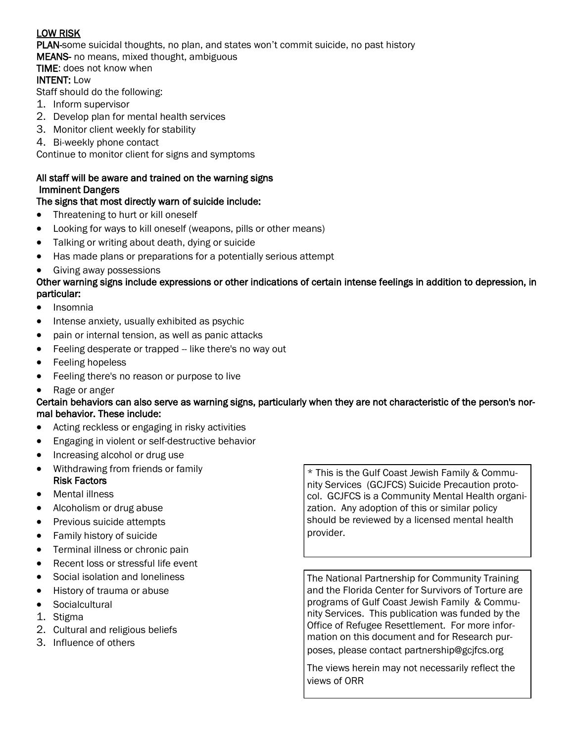#### LOW RISK

PLAN-some suicidal thoughts, no plan, and states won't commit suicide, no past history

MEANS- no means, mixed thought, ambiguous

#### TIME: does not know when

#### INTENT: Low

Staff should do the following:

- 1. Inform supervisor
- 2. Develop plan for mental health services
- 3. Monitor client weekly for stability
- 4. Bi-weekly phone contact

Continue to monitor client for signs and symptoms

#### All staff will be aware and trained on the warning signs Imminent Dangers

#### The signs that most directly warn of suicide include:

- Threatening to hurt or kill oneself
- Looking for ways to kill oneself (weapons, pills or other means)
- Talking or writing about death, dying or suicide
- Has made plans or preparations for a potentially serious attempt
- Giving away possessions

#### Other warning signs include expressions or other indications of certain intense feelings in addition to depression, in particular:

- Insomnia
- Intense anxiety, usually exhibited as psychic
- pain or internal tension, as well as panic attacks
- Feeling desperate or trapped -- like there's no way out
- Feeling hopeless
- Feeling there's no reason or purpose to live
- Rage or anger

#### Certain behaviors can also serve as warning signs, particularly when they are not characteristic of the person's normal behavior. These include:

- Acting reckless or engaging in risky activities
- **Engaging in violent or self-destructive behavior**
- Increasing alcohol or drug use
- Withdrawing from friends or family Risk Factors
- Mental illness
- Alcoholism or drug abuse
- Previous suicide attempts
- Family history of suicide
- Terminal illness or chronic pain
- Recent loss or stressful life event
- Social isolation and loneliness
- History of trauma or abuse
- Socialcultural
- 1. Stigma
- 2. Cultural and religious beliefs
- 3. Influence of others

\* This is the Gulf Coast Jewish Family & Community Services (GCJFCS) Suicide Precaution protocol. GCJFCS is a Community Mental Health organization. Any adoption of this or similar policy should be reviewed by a licensed mental health provider.

The National Partnership for Community Training and the Florida Center for Survivors of Torture are programs of Gulf Coast Jewish Family & Community Services. This publication was funded by the Office of Refugee Resettlement. For more information on this document and for Research purposes, please contact partnership@gcjfcs.org

The views herein may not necessarily reflect the views of ORR